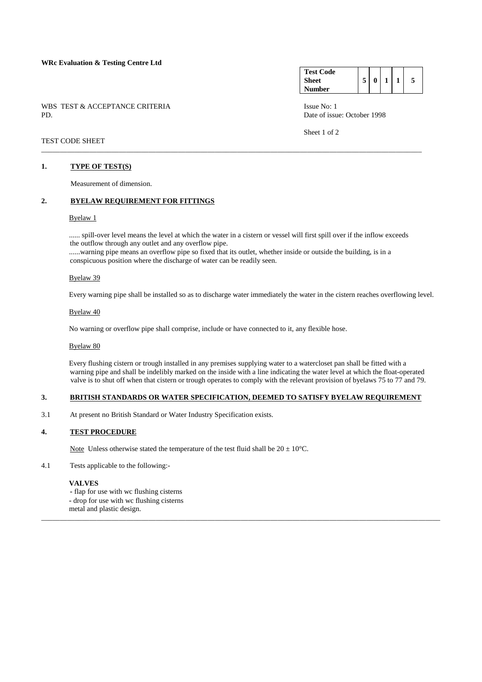### **WRc Evaluation & Testing Centre Ltd**

WBS TEST & ACCEPTANCE CRITERIA ISSUE No: 1 PD. Date of issue: October 1998

#### **Test Code Sheet Number**   $5 | 0 | 1 | 1 | 5$

Sheet 1 of 2

# TEST CODE SHEET

### **1. TYPE OF TEST(S)**

Measurement of dimension.

# **2. BYELAW REQUIREMENT FOR FITTINGS**

### Byelaw 1

...... spill-over level means the level at which the water in a cistern or vessel will first spill over if the inflow exceeds the outflow through any outlet and any overflow pipe. ......warning pipe means an overflow pipe so fixed that its outlet, whether inside or outside the building, is in a conspicuous position where the discharge of water can be readily seen.

\_\_\_\_\_\_\_\_\_\_\_\_\_\_\_\_\_\_\_\_\_\_\_\_\_\_\_\_\_\_\_\_\_\_\_\_\_\_\_\_\_\_\_\_\_\_\_\_\_\_\_\_\_\_\_\_\_\_\_\_\_\_\_\_\_\_\_\_\_\_\_\_\_\_\_\_\_\_\_\_\_\_\_\_\_\_\_\_\_\_\_\_\_\_\_\_\_\_\_\_\_\_\_

### Byelaw 39

Every warning pipe shall be installed so as to discharge water immediately the water in the cistern reaches overflowing level.

#### Byelaw 40

No warning or overflow pipe shall comprise, include or have connected to it, any flexible hose.

#### Byelaw 80

 Every flushing cistern or trough installed in any premises supplying water to a watercloset pan shall be fitted with a warning pipe and shall be indelibly marked on the inside with a line indicating the water level at which the float-operated valve is to shut off when that cistern or trough operates to comply with the relevant provision of byelaws 75 to 77 and 79.

# **3. BRITISH STANDARDS OR WATER SPECIFICATION, DEEMED TO SATISFY BYELAW REQUIREMENT**

\_\_\_\_\_\_\_\_\_\_\_\_\_\_\_\_\_\_\_\_\_\_\_\_\_\_\_\_\_\_\_\_\_\_\_\_\_\_\_\_\_\_\_\_\_\_\_\_\_\_\_\_\_\_\_\_\_\_\_\_\_\_\_\_\_\_\_\_\_\_\_\_\_\_\_\_\_\_\_\_\_\_\_\_\_\_\_\_\_\_\_\_\_\_\_\_\_\_\_\_\_\_\_\_\_\_\_\_

3.1 At present no British Standard or Water Industry Specification exists.

### **4. TEST PROCEDURE**

Note Unless otherwise stated the temperature of the test fluid shall be  $20 \pm 10^{\circ}$ C.

4.1 Tests applicable to the following:-

### **VALVES**

 **-** flap for use with wc flushing cisterns  **-** drop for use with wc flushing cisterns

metal and plastic design.